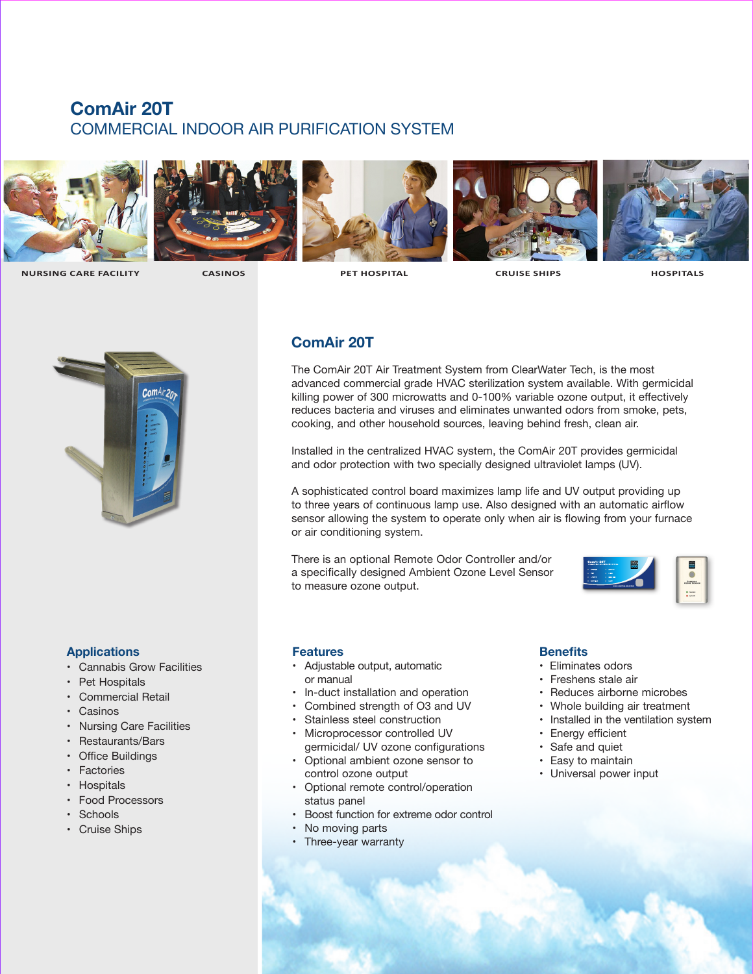# **ComAir 20T** COMMERCIAL INDOOR AIR PURIFICATION SYSTEM











 **NURSING CARE FACILITY CASINOS PET HOSPITAL CRUISE SHIPS HOSPITALS** 



### **Applications**

- Cannabis Grow Facilities
- Pet Hospitals
- Commercial Retail
- Casinos
- Nursing Care Facilities
- Restaurants/Bars
- Office Buildings
- Factories
- Hospitals
- Food Processors
- Schools
- Cruise Ships

## **ComAir 20T**

The ComAir 20T Air Treatment System from ClearWater Tech, is the most advanced commercial grade HVAC sterilization system available. With germicidal killing power of 300 microwatts and 0-100% variable ozone output, it effectively reduces bacteria and viruses and eliminates unwanted odors from smoke, pets, cooking, and other household sources, leaving behind fresh, clean air.

Installed in the centralized HVAC system, the ComAir 20T provides germicidal and odor protection with two specially designed ultraviolet lamps (UV).

A sophisticated control board maximizes lamp life and UV output providing up to three years of continuous lamp use. Also designed with an automatic airflow sensor allowing the system to operate only when air is flowing from your furnace or air conditioning system.

There is an optional Remote Odor Controller and/or a specifically designed Ambient Ozone Level Sensor to measure ozone output.



### **Features**

- Adjustable output, automatic or manual
- In-duct installation and operation
- Combined strength of O3 and UV
- Stainless steel construction
- Microprocessor controlled UV germicidal/ UV ozone configurations
- Optional ambient ozone sensor to control ozone output
- Optional remote control/operation status panel
- Boost function for extreme odor control
- No moving parts
- Three-year warranty

#### **Benefits**

- Eliminates odors
- Freshens stale air
- Reduces airborne microbes
- Whole building air treatment
- Installed in the ventilation system
- Energy efficient
- Safe and quiet
- Easy to maintain
- Universal power input